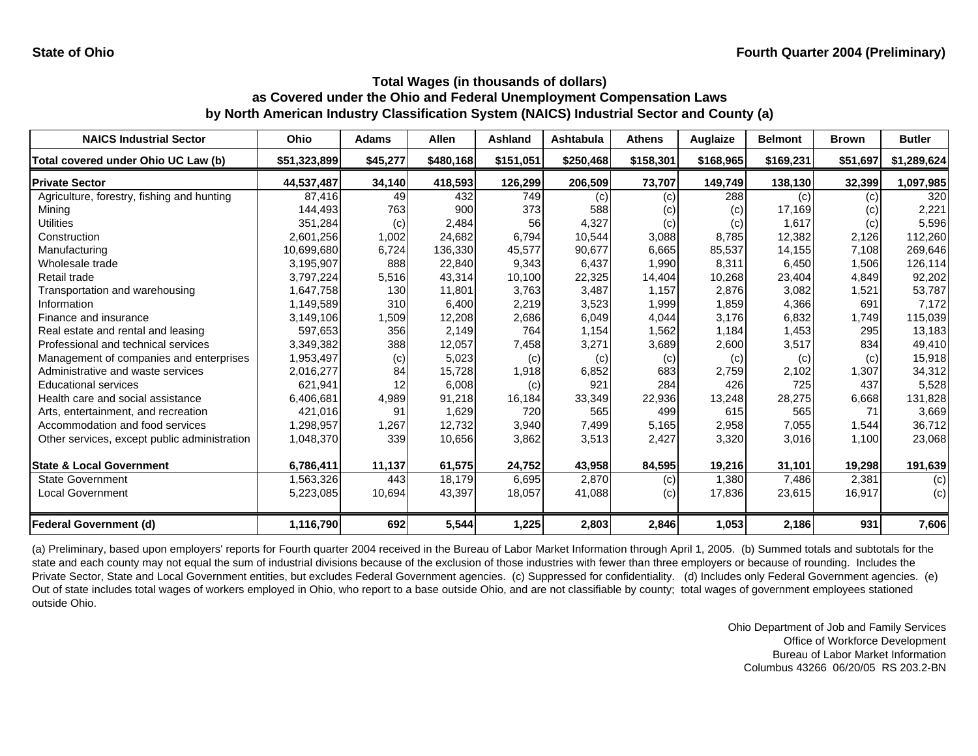| <b>NAICS Industrial Sector</b>               | Ohio         | <b>Adams</b> | <b>Allen</b> | <b>Ashland</b> | Ashtabula | <b>Athens</b> | Auglaize  | <b>Belmont</b> | <b>Brown</b> | <b>Butler</b> |
|----------------------------------------------|--------------|--------------|--------------|----------------|-----------|---------------|-----------|----------------|--------------|---------------|
| Total covered under Ohio UC Law (b)          | \$51,323,899 | \$45,277     | \$480,168    | \$151,051      | \$250,468 | \$158,301     | \$168,965 | \$169,231      | \$51,697     | \$1,289,624   |
| <b>Private Sector</b>                        | 44,537,487   | 34,140       | 418,593      | 126,299        | 206,509   | 73,707        | 149,749   | 138,130        | 32,399       | 1,097,985     |
| Agriculture, forestry, fishing and hunting   | 87,416       | 49           | 432          | 749            | (c)       | (c)           | 288       | (c)            | (c)          | 320           |
| Mining                                       | 144,493      | 763          | 900          | 373            | 588       | (c)           | (c)       | 17,169         | $\left( $    | 2,221         |
| <b>Utilities</b>                             | 351,284      | (c)          | 2,484        | 56             | 4,327     | (c)           | (c)       | 1,617          | (c)          | 5,596         |
| Construction                                 | 2.601.256    | 1,002        | 24,682       | 6,794          | 10.544    | 3,088         | 8,785     | 12,382         | 2,126        | 112,260       |
| Manufacturing                                | 10,699,680   | 6,724        | 136,330      | 45,577         | 90,677    | 6,665         | 85,537    | 14,155         | 7,108        | 269,646       |
| Wholesale trade                              | 3,195,907    | 888          | 22,840       | 9,343          | 6,437     | 1,990         | 8,311     | 6,450          | 1,506        | 126,114       |
| Retail trade                                 | 3,797,224    | 5,516        | 43,314       | 10,100         | 22,325    | 14,404        | 10,268    | 23,404         | 4,849        | 92,202        |
| Transportation and warehousing               | 1,647,758    | 130          | 11,801       | 3,763          | 3,487     | 1,157         | 2,876     | 3,082          | 1,521        | 53,787        |
| Information                                  | 1,149,589    | 310          | 6,400        | 2,219          | 3,523     | 1,999         | 1,859     | 4,366          | 691          | 7,172         |
| Finance and insurance                        | 3,149,106    | 1,509        | 12,208       | 2,686          | 6,049     | 4,044         | 3,176     | 6,832          | 1,749        | 115,039       |
| Real estate and rental and leasing           | 597,653      | 356          | 2,149        | 764            | 1,154     | 1,562         | 1,184     | 1,453          | 295          | 13,183        |
| Professional and technical services          | 3,349,382    | 388          | 12,057       | 7,458          | 3,271     | 3,689         | 2,600     | 3,517          | 834          | 49,410        |
| Management of companies and enterprises      | 1,953,497    | (c)          | 5,023        | (c)            | (c)       | (c)           | (c)       | (c)            | (c)          | 15,918        |
| Administrative and waste services            | 2,016,277    | 84           | 15,728       | 1,918          | 6,852     | 683           | 2,759     | 2,102          | 1,307        | 34,312        |
| <b>Educational services</b>                  | 621.941      | 12           | 6,008        | (c)            | 921       | 284           | 426       | 725            | 437          | 5,528         |
| Health care and social assistance            | 6,406,681    | 4,989        | 91,218       | 16,184         | 33,349    | 22,936        | 13,248    | 28,275         | 6,668        | 131,828       |
| Arts, entertainment, and recreation          | 421,016      | 91           | 1,629        | 720            | 565       | 499           | 615       | 565            | 71           | 3,669         |
| Accommodation and food services              | 1,298,957    | 1,267        | 12,732       | 3,940          | 7,499     | 5,165         | 2,958     | 7,055          | 1,544        | 36,712        |
| Other services, except public administration | 1,048,370    | 339          | 10,656       | 3,862          | 3,513     | 2,427         | 3,320     | 3,016          | 1,100        | 23,068        |
| <b>State &amp; Local Government</b>          | 6,786,411    | 11,137       | 61,575       | 24,752         | 43,958    | 84,595        | 19,216    | 31,101         | 19,298       | 191,639       |
| <b>State Government</b>                      | 1,563,326    | 443          | 18,179       | 6,695          | 2,870     | (c)           | 1,380     | 7,486          | 2,381        | (c)           |
| <b>Local Government</b>                      | 5,223,085    | 10,694       | 43,397       | 18,057         | 41,088    | (c)           | 17,836    | 23,615         | 16,917       | (c)           |
| <b>Federal Government (d)</b>                | 1,116,790    | 692          | 5,544        | 1,225          | 2,803     | 2,846         | 1,053     | 2,186          | 931          | 7,606         |

(a) Preliminary, based upon employers' reports for Fourth quarter 2004 received in the Bureau of Labor Market Information through April 1, 2005. (b) Summed totals and subtotals for the state and each county may not equal the sum of industrial divisions because of the exclusion of those industries with fewer than three employers or because of rounding. Includes the Private Sector, State and Local Government entities, but excludes Federal Government agencies. (c) Suppressed for confidentiality. (d) Includes only Federal Government agencies. (e) Out of state includes total wages of workers employed in Ohio, who report to a base outside Ohio, and are not classifiable by county; total wages of government employees stationed outside Ohio.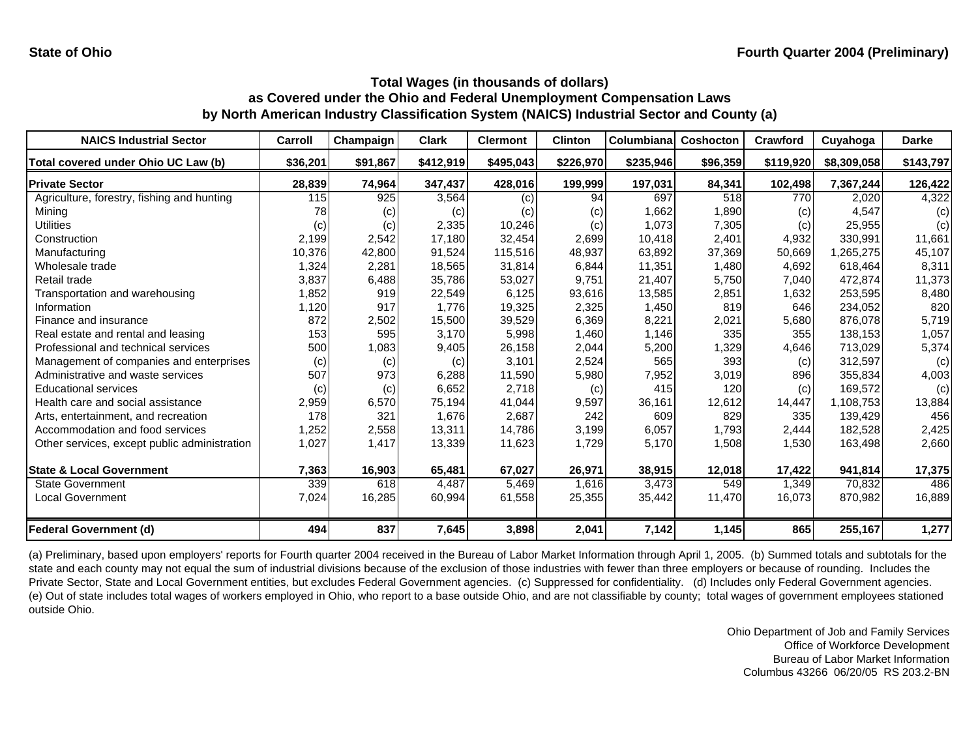| <b>NAICS Industrial Sector</b>               | Carroll  | Champaign | <b>Clark</b> | <b>Clermont</b> | <b>Clinton</b> | Columbiana | <b>Coshocton</b> | Crawford  | Cuyahoga    | <b>Darke</b> |
|----------------------------------------------|----------|-----------|--------------|-----------------|----------------|------------|------------------|-----------|-------------|--------------|
| Total covered under Ohio UC Law (b)          | \$36,201 | \$91,867  | \$412,919    | \$495,043       | \$226,970      | \$235,946  | \$96,359         | \$119,920 | \$8,309,058 | \$143,797    |
| <b>Private Sector</b>                        | 28,839   | 74,964    | 347,437      | 428,016         | 199,999        | 197,031    | 84,341           | 102,498   | 7,367,244   | 126,422      |
| Agriculture, forestry, fishing and hunting   | 115      | 925       | 3,564        | (c)             | 94             | 697        | 518              | 770       | 2,020       | 4,322        |
| Minina                                       | 78       | (c)       | (c)          | (c)             | (c)            | 1,662      | 1,890            | (c)       | 4,547       | (c)          |
| Utilities                                    | (c)      | (c)       | 2,335        | 10,246          | (c)            | 1,073      | 7,305            | (c)       | 25,955      | (c)          |
| Construction                                 | 2,199    | 2,542     | 17,180       | 32,454          | 2,699          | 10,418     | 2,401            | 4,932     | 330,991     | 11,661       |
| Manufacturing                                | 10,376   | 42,800    | 91,524       | 115,516         | 48,937         | 63,892     | 37,369           | 50,669    | ,265,275    | 45,107       |
| Wholesale trade                              | 1,324    | 2,281     | 18,565       | 31,814          | 6,844          | 11,351     | 1,480            | 4,692     | 618,464     | 8,311        |
| Retail trade                                 | 3,837    | 6,488     | 35,786       | 53,027          | 9,751          | 21,407     | 5,750            | 7,040     | 472,874     | 11,373       |
| Transportation and warehousing               | 1,852    | 919       | 22,549       | 6,125           | 93,616         | 13,585     | 2,851            | 1,632     | 253,595     | 8,480        |
| Information                                  | 1,120    | 917       | 1.776        | 19,325          | 2,325          | 1,450      | 819              | 646       | 234,052     | 820          |
| Finance and insurance                        | 872      | 2,502     | 15,500       | 39,529          | 6,369          | 8,221      | 2,021            | 5,680     | 876,078     | 5,719        |
| Real estate and rental and leasing           | 153      | 595       | 3,170        | 5,998           | 1,460          | 1,146      | 335              | 355       | 138,153     | 1,057        |
| Professional and technical services          | 500      | 1,083     | 9,405        | 26,158          | 2,044          | 5,200      | 1,329            | 4,646     | 713,029     | 5,374        |
| Management of companies and enterprises      | (c)      | (c)       | (c)          | 3,101           | 2,524          | 565        | 393              | (c)       | 312,597     | (c)          |
| Administrative and waste services            | 507      | 973       | 6,288        | 11,590          | 5,980          | 7,952      | 3,019            | 896       | 355,834     | 4,003        |
| <b>Educational services</b>                  | (c)      | (c)       | 6,652        | 2,718           | (c)            | 415        | 120              | (c)       | 169,572     | (c)          |
| Health care and social assistance            | 2,959    | 6,570     | 75,194       | 41,044          | 9,597          | 36,161     | 12,612           | 14,447    | 1,108,753   | 13,884       |
| Arts, entertainment, and recreation          | 178      | 321       | 1,676        | 2,687           | 242            | 609        | 829              | 335       | 139,429     | 456          |
| Accommodation and food services              | 1,252    | 2,558     | 13,311       | 14,786          | 3,199          | 6,057      | 1,793            | 2,444     | 182,528     | 2,425        |
| Other services, except public administration | 1,027    | 1,417     | 13,339       | 11,623          | 1,729          | 5,170      | 1,508            | 1,530     | 163,498     | 2,660        |
| <b>State &amp; Local Government</b>          | 7,363    | 16,903    | 65,481       | 67,027          | 26,971         | 38,915     | 12,018           | 17,422    | 941,814     | 17,375       |
| <b>State Government</b>                      | 339      | 618       | 4,487        | 5,469           | 1,616          | 3,473      | 549              | 1,349     | 70,832      | 486          |
| <b>Local Government</b>                      | 7,024    | 16,285    | 60,994       | 61,558          | 25,355         | 35,442     | 11,470           | 16,073    | 870,982     | 16,889       |
| <b>Federal Government (d)</b>                | 494      | 837       | 7,645        | 3,898           | 2,041          | 7,142      | 1,145            | 865       | 255,167     | 1,277        |

(a) Preliminary, based upon employers' reports for Fourth quarter 2004 received in the Bureau of Labor Market Information through April 1, 2005. (b) Summed totals and subtotals for the state and each county may not equal the sum of industrial divisions because of the exclusion of those industries with fewer than three employers or because of rounding. Includes the Private Sector, State and Local Government entities, but excludes Federal Government agencies. (c) Suppressed for confidentiality. (d) Includes only Federal Government agencies. (e) Out of state includes total wages of workers employed in Ohio, who report to a base outside Ohio, and are not classifiable by county; total wages of government employees stationed outside Ohio.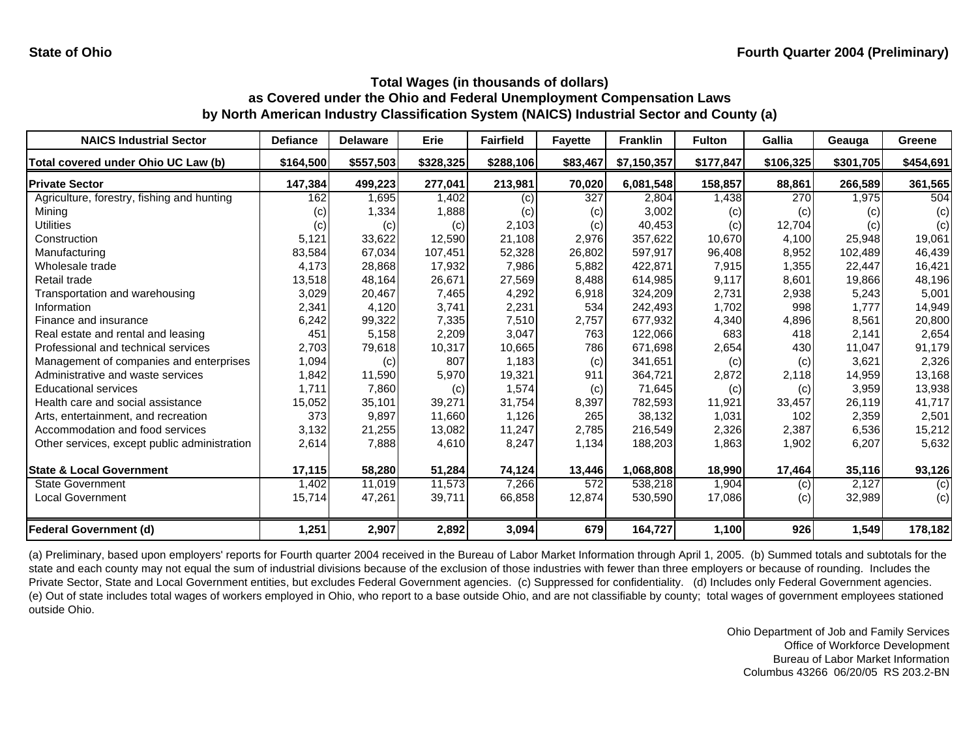| <b>NAICS Industrial Sector</b>               | <b>Defiance</b>   | <b>Delaware</b> | Erie      | <b>Fairfield</b> | <b>Fayette</b> | <b>Franklin</b> | <b>Fulton</b> | Gallia    | Geauga    | Greene    |
|----------------------------------------------|-------------------|-----------------|-----------|------------------|----------------|-----------------|---------------|-----------|-----------|-----------|
| Total covered under Ohio UC Law (b)          | \$164,500         | \$557,503       | \$328,325 | \$288,106        | \$83,467       | \$7,150,357     | \$177,847     | \$106,325 | \$301,705 | \$454,691 |
| <b>Private Sector</b>                        | 147,384           | 499,223         | 277,041   | 213,981          | 70,020         | 6,081,548       | 158,857       | 88,861    | 266,589   | 361,565   |
| Agriculture, forestry, fishing and hunting   | 162               | 1,695           | 1,402     | (c)              | 327            | 2,804           | 1,438         | 270       | 1,975     | 504       |
| Mining                                       | $\left( c\right)$ | 1,334           | 1,888     | (c)              | (c)            | 3,002           | (c)           | (c)       | (c)       | (c)       |
| <b>Utilities</b>                             | (c)               | (c)             | (c)       | 2,103            | (c)            | 40,453          | (c)           | 12,704    | (c)       | (c)       |
| Construction                                 | 5,121             | 33,622          | 12,590    | 21,108           | 2,976          | 357,622         | 10,670        | 4,100     | 25,948    | 19,061    |
| Manufacturing                                | 83,584            | 67,034          | 107,451   | 52,328           | 26,802         | 597,917         | 96,408        | 8,952     | 102,489   | 46,439    |
| Wholesale trade                              | 4,173             | 28,868          | 17,932    | 7,986            | 5,882          | 422,871         | 7,915         | 1,355     | 22,447    | 16,421    |
| Retail trade                                 | 13,518            | 48,164          | 26,671    | 27,569           | 8,488          | 614,985         | 9,117         | 8,601     | 19,866    | 48,196    |
| Transportation and warehousing               | 3,029             | 20,467          | 7,465     | 4,292            | 6,918          | 324,209         | 2,731         | 2,938     | 5,243     | 5,001     |
| Information                                  | 2,341             | 4,120           | 3,741     | 2,231            | 534            | 242,493         | 1,702         | 998       | 1.777     | 14,949    |
| Finance and insurance                        | 6,242             | 99,322          | 7,335     | 7,510            | 2,757          | 677,932         | 4,340         | 4,896     | 8,561     | 20,800    |
| Real estate and rental and leasing           | 451               | 5,158           | 2,209     | 3.047            | 763            | 122,066         | 683           | 418       | 2.141     | 2,654     |
| Professional and technical services          | 2,703             | 79,618          | 10,317    | 10,665           | 786            | 671,698         | 2,654         | 430       | 11,047    | 91,179    |
| Management of companies and enterprises      | 1,094             | (c)             | 807       | 1,183            | (c)            | 341,651         | (c)           | (c)       | 3,621     | 2,326     |
| Administrative and waste services            | 1,842             | 11,590          | 5,970     | 19,321           | 911            | 364,721         | 2,872         | 2,118     | 14,959    | 13,168    |
| <b>Educational services</b>                  | 1,711             | 7,860           | (c)       | 1,574            | (c)            | 71,645          | (c)           | (c)       | 3,959     | 13,938    |
| Health care and social assistance            | 15,052            | 35,101          | 39,271    | 31,754           | 8,397          | 782,593         | 11,921        | 33,457    | 26,119    | 41,717    |
| Arts, entertainment, and recreation          | 373               | 9,897           | 11,660    | 1,126            | 265            | 38,132          | 1,031         | 102       | 2,359     | 2,501     |
| Accommodation and food services              | 3,132             | 21,255          | 13,082    | 11,247           | 2,785          | 216,549         | 2,326         | 2,387     | 6,536     | 15,212    |
| Other services, except public administration | 2,614             | 7,888           | 4,610     | 8,247            | 1,134          | 188,203         | 1,863         | 1,902     | 6,207     | 5,632     |
| <b>State &amp; Local Government</b>          | 17,115            | 58,280          | 51,284    | 74,124           | 13,446         | 1,068,808       | 18,990        | 17,464    | 35,116    | 93,126    |
| <b>State Government</b>                      | 1,402             | 11,019          | 11,573    | 7,266            | 572            | 538,218         | 1,904         | (c)       | 2,127     | (c)       |
| Local Government                             | 15,714            | 47,261          | 39,711    | 66,858           | 12,874         | 530,590         | 17,086        | (c)       | 32,989    | (c)       |
| <b>Federal Government (d)</b>                | 1,251             | 2,907           | 2,892     | 3,094            | 679            | 164,727         | 1,100         | 926       | 1,549     | 178,182   |

(a) Preliminary, based upon employers' reports for Fourth quarter 2004 received in the Bureau of Labor Market Information through April 1, 2005. (b) Summed totals and subtotals for the state and each county may not equal the sum of industrial divisions because of the exclusion of those industries with fewer than three employers or because of rounding. Includes the Private Sector, State and Local Government entities, but excludes Federal Government agencies. (c) Suppressed for confidentiality. (d) Includes only Federal Government agencies. (e) Out of state includes total wages of workers employed in Ohio, who report to a base outside Ohio, and are not classifiable by county; total wages of government employees stationed outside Ohio.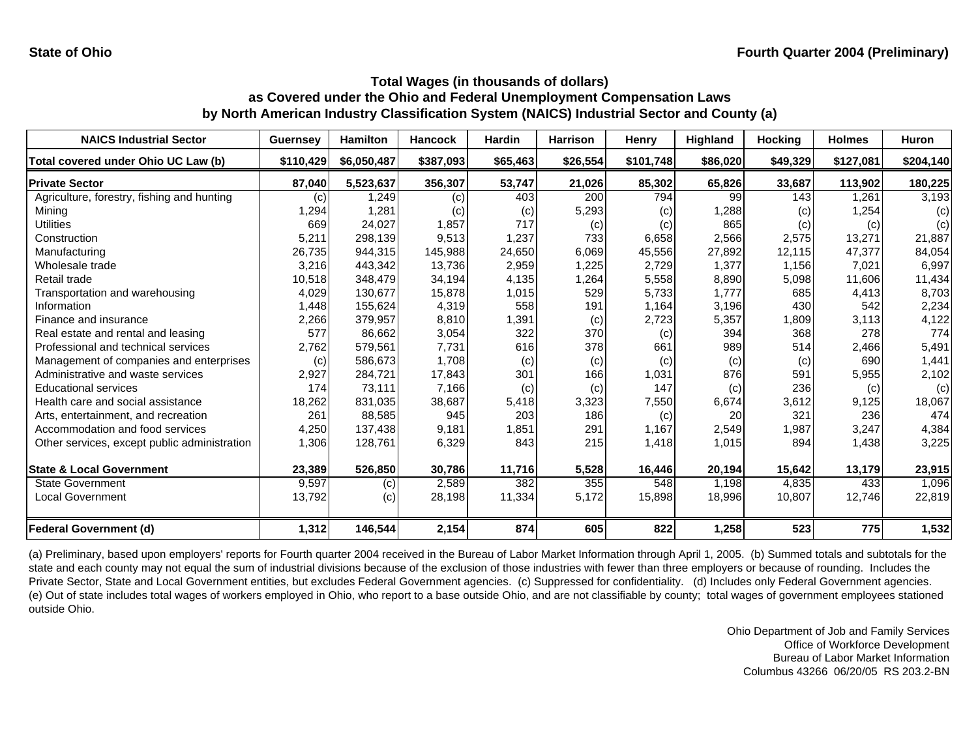| <b>NAICS Industrial Sector</b>               | <b>Guernsey</b> | <b>Hamilton</b> | <b>Hancock</b> | <b>Hardin</b> | <b>Harrison</b> | Henry     | Highland | <b>Hocking</b> | <b>Holmes</b> | <b>Huron</b> |
|----------------------------------------------|-----------------|-----------------|----------------|---------------|-----------------|-----------|----------|----------------|---------------|--------------|
| Total covered under Ohio UC Law (b)          | \$110,429       | \$6,050,487     | \$387,093      | \$65,463      | \$26,554        | \$101,748 | \$86,020 | \$49,329       | \$127,081     | \$204,140    |
| <b>Private Sector</b>                        | 87,040          | 5,523,637       | 356,307        | 53,747        | 21,026          | 85,302    | 65,826   | 33,687         | 113,902       | 180,225      |
| Agriculture, forestry, fishing and hunting   | (c)             | 1,249           | (c)            | 403           | 200             | 794       | 99       | 143            | 1,261         | 3,193        |
| Mining                                       | ,294            | 1,281           | (c)            | (c)           | 5,293           | (c)       | 1,288    | (c)            | 1,254         | (c)          |
| <b>Utilities</b>                             | 669             | 24,027          | 1,857          | 717           | (c)             | (c)       | 865      | (c)            | (c)           | (c)          |
| Construction                                 | 5,211           | 298,139         | 9,513          | 1,237         | 733             | 6,658     | 2,566    | 2,575          | 13,271        | 21,887       |
| Manufacturing                                | 26,735          | 944,315         | 145,988        | 24,650        | 6,069           | 45,556    | 27,892   | 12,115         | 47,377        | 84,054       |
| Wholesale trade                              | 3,216           | 443,342         | 13,736         | 2,959         | 1,225           | 2,729     | 1,377    | 1,156          | 7,021         | 6,997        |
| Retail trade                                 | 10,518          | 348,479         | 34,194         | 4,135         | 1,264           | 5,558     | 8,890    | 5,098          | 11,606        | 11,434       |
| Transportation and warehousing               | 4,029           | 130,677         | 15,878         | 1,015         | 529             | 5,733     | 1,777    | 685            | 4,413         | 8,703        |
| Information                                  | 1,448           | 155,624         | 4,319          | 558           | 191             | 1,164     | 3,196    | 430            | 542           | 2,234        |
| Finance and insurance                        | 2,266           | 379,957         | 8,810          | 1,391         | (c)             | 2,723     | 5,357    | 1,809          | 3,113         | 4,122        |
| Real estate and rental and leasing           | 577             | 86,662          | 3,054          | 322           | 370             | (c)       | 394      | 368            | 278           | 774          |
| Professional and technical services          | 2,762           | 579,561         | 7,731          | 616           | 378             | 661       | 989      | 514            | 2,466         | 5,491        |
| Management of companies and enterprises      | (c)             | 586.673         | 1,708          | (c)           | (c)             | (c)       | (c)      | (c)            | 690           | 1,441        |
| Administrative and waste services            | 2,927           | 284,721         | 17,843         | 301           | 166             | 1,031     | 876      | 591            | 5,955         | 2,102        |
| <b>Educational services</b>                  | 174             | 73,111          | 7,166          | (c)           | (c)             | 147       | (c)      | 236            | (c)           | (c)          |
| Health care and social assistance            | 18,262          | 831,035         | 38,687         | 5,418         | 3,323           | 7,550     | 6,674    | 3,612          | 9,125         | 18,067       |
| Arts, entertainment, and recreation          | 261             | 88,585          | 945            | 203           | 186             | (c)       | 20       | 321            | 236           | 474          |
| Accommodation and food services              | 4,250           | 137,438         | 9,181          | 1,851         | 291             | 1,167     | 2,549    | 1,987          | 3,247         | 4,384        |
| Other services, except public administration | 1,306           | 128,761         | 6,329          | 843           | 215             | 1,418     | 1,015    | 894            | 1,438         | 3,225        |
| <b>State &amp; Local Government</b>          | 23,389          | 526,850         | 30,786         | 11,716        | 5,528           | 16,446    | 20,194   | 15,642         | 13,179        | 23,915       |
| <b>State Government</b>                      | 9,597           | (c)             | 2,589          | 382           | 355             | 548       | 1,198    | 4,835          | 433           | 1,096        |
| <b>Local Government</b>                      | 13,792          | (c)             | 28,198         | 11,334        | 5,172           | 15,898    | 18,996   | 10,807         | 12,746        | 22,819       |
| <b>Federal Government (d)</b>                | 1,312           | 146,544         | 2,154          | 874           | 605             | 822       | 1,258    | 523            | 775           | 1,532        |

(a) Preliminary, based upon employers' reports for Fourth quarter 2004 received in the Bureau of Labor Market Information through April 1, 2005. (b) Summed totals and subtotals for the state and each county may not equal the sum of industrial divisions because of the exclusion of those industries with fewer than three employers or because of rounding. Includes the Private Sector, State and Local Government entities, but excludes Federal Government agencies. (c) Suppressed for confidentiality. (d) Includes only Federal Government agencies. (e) Out of state includes total wages of workers employed in Ohio, who report to a base outside Ohio, and are not classifiable by county; total wages of government employees stationed outside Ohio.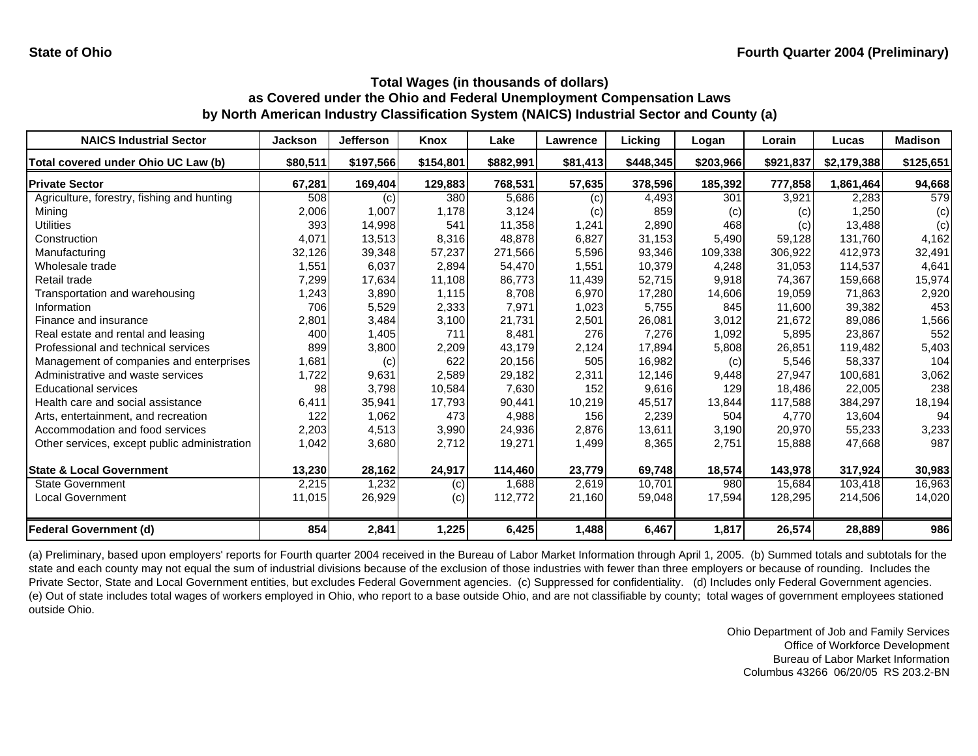| <b>NAICS Industrial Sector</b>               | <b>Jackson</b> | <b>Jefferson</b> | Knox      | Lake      | Lawrence | Licking   | Logan     | Lorain    | Lucas       | <b>Madison</b> |
|----------------------------------------------|----------------|------------------|-----------|-----------|----------|-----------|-----------|-----------|-------------|----------------|
| Total covered under Ohio UC Law (b)          | \$80,511       | \$197,566        | \$154,801 | \$882,991 | \$81,413 | \$448,345 | \$203,966 | \$921,837 | \$2,179,388 | \$125,651      |
| <b>Private Sector</b>                        | 67,281         | 169,404          | 129,883   | 768,531   | 57,635   | 378,596   | 185,392   | 777,858   | 1,861,464   | 94,668         |
| Agriculture, forestry, fishing and hunting   | 508            | (c)              | 380       | 5,686     | (c)      | 4,493     | 301       | 3,921     | 2,283       | 579            |
| Mining                                       | 2,006          | 1,007            | 1,178     | 3,124     | (c)      | 859       | (c)       | (c)       | 1,250       | (c)            |
| <b>Utilities</b>                             | 393            | 14,998           | 541       | 11,358    | 1,241    | 2,890     | 468       | (c)       | 13,488      | (c)            |
| Construction                                 | 4,071          | 13,513           | 8,316     | 48,878    | 6,827    | 31,153    | 5,490     | 59,128    | 131,760     | 4,162          |
| Manufacturing                                | 32,126         | 39,348           | 57,237    | 271.566   | 5,596    | 93,346    | 109,338   | 306.922   | 412.973     | 32,491         |
| Wholesale trade                              | 1,551          | 6,037            | 2,894     | 54,470    | 1,551    | 10,379    | 4,248     | 31,053    | 114,537     | 4,641          |
| Retail trade                                 | 7,299          | 17,634           | 11,108    | 86.773    | 11,439   | 52,715    | 9,918     | 74,367    | 159,668     | 15,974         |
| Transportation and warehousing               | 1,243          | 3,890            | 1,115     | 8.708     | 6,970    | 17,280    | 14,606    | 19,059    | 71,863      | 2,920          |
| Information                                  | 706            | 5,529            | 2,333     | 7,971     | 1,023    | 5,755     | 845       | 11,600    | 39,382      | 453            |
| Finance and insurance                        | 2,801          | 3,484            | 3,100     | 21,731    | 2,501    | 26,081    | 3,012     | 21,672    | 89,086      | 1,566          |
| Real estate and rental and leasing           | 400            | 1,405            | 711       | 8.481     | 276      | 7,276     | 1,092     | 5,895     | 23,867      | 552            |
| Professional and technical services          | 899            | 3,800            | 2,209     | 43.179    | 2,124    | 17,894    | 5,808     | 26,851    | 119,482     | 5,403          |
| Management of companies and enterprises      | 1,681          | (c)              | 622       | 20,156    | 505      | 16,982    | (c)       | 5,546     | 58,337      | 104            |
| Administrative and waste services            | 1,722          | 9,631            | 2,589     | 29,182    | 2,311    | 12,146    | 9,448     | 27,947    | 100,681     | 3,062          |
| <b>Educational services</b>                  | 98             | 3,798            | 10,584    | 7,630     | 152      | 9,616     | 129       | 18,486    | 22,005      | 238            |
| Health care and social assistance            | 6,411          | 35,941           | 17,793    | 90,441    | 10,219   | 45,517    | 13,844    | 117,588   | 384,297     | 18,194         |
| Arts, entertainment, and recreation          | 122            | 1,062            | 473       | 4,988     | 156      | 2,239     | 504       | 4.770     | 13,604      | 94             |
| Accommodation and food services              | 2,203          | 4,513            | 3,990     | 24,936    | 2,876    | 13,611    | 3,190     | 20,970    | 55,233      | 3,233          |
| Other services, except public administration | 1,042          | 3,680            | 2,712     | 19,271    | 1,499    | 8,365     | 2,751     | 15,888    | 47,668      | 987            |
| <b>State &amp; Local Government</b>          | 13,230         | 28,162           | 24,917    | 114,460   | 23,779   | 69,748    | 18,574    | 143,978   | 317,924     | 30,983         |
| <b>State Government</b>                      | 2,215          | 1,232            | (c)       | 1,688     | 2,619    | 10,701    | 980       | 15,684    | 103,418     | 16,963         |
| Local Government                             | 11,015         | 26,929           | (c)       | 112,772   | 21,160   | 59,048    | 17,594    | 128,295   | 214,506     | 14,020         |
| <b>Federal Government (d)</b>                | 854            | 2,841            | 1,225     | 6,425     | 1,488    | 6,467     | 1,817     | 26,574    | 28,889      | 986            |

(a) Preliminary, based upon employers' reports for Fourth quarter 2004 received in the Bureau of Labor Market Information through April 1, 2005. (b) Summed totals and subtotals for the state and each county may not equal the sum of industrial divisions because of the exclusion of those industries with fewer than three employers or because of rounding. Includes the Private Sector, State and Local Government entities, but excludes Federal Government agencies. (c) Suppressed for confidentiality. (d) Includes only Federal Government agencies. (e) Out of state includes total wages of workers employed in Ohio, who report to a base outside Ohio, and are not classifiable by county; total wages of government employees stationed outside Ohio.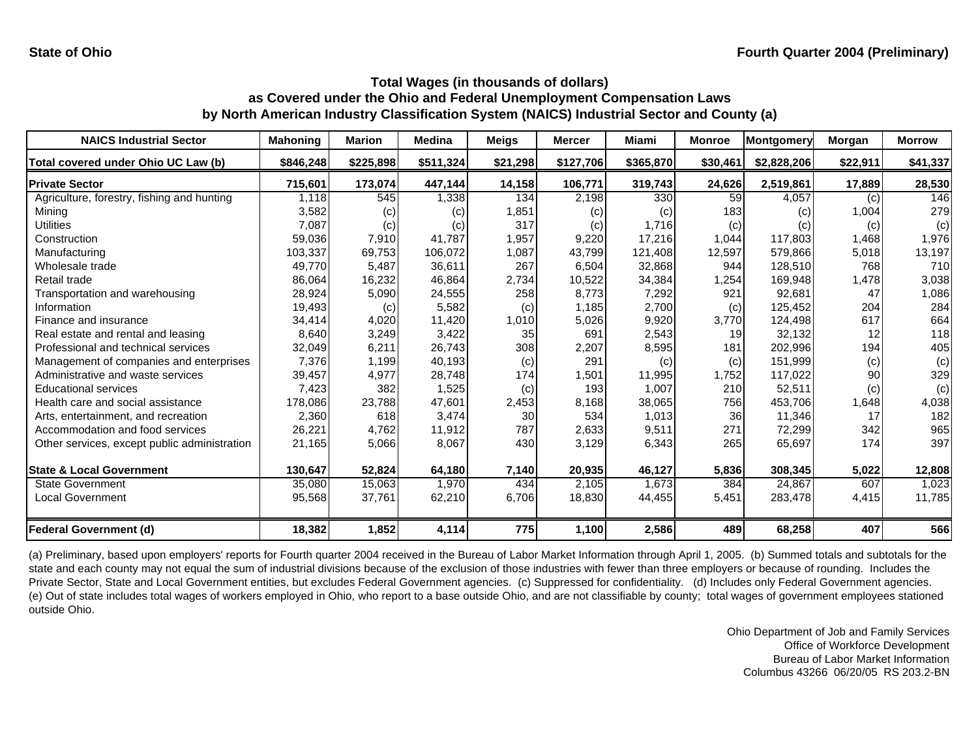| <b>NAICS Industrial Sector</b>               | Mahoning  | <b>Marion</b> | <b>Medina</b> | <b>Meigs</b> | <b>Mercer</b> | Miami     | <b>Monroe</b> | Montgomery  | Morgan   | <b>Morrow</b> |
|----------------------------------------------|-----------|---------------|---------------|--------------|---------------|-----------|---------------|-------------|----------|---------------|
| Total covered under Ohio UC Law (b)          | \$846,248 | \$225,898     | \$511,324     | \$21,298     | \$127,706     | \$365,870 | \$30,461      | \$2,828,206 | \$22,911 | \$41,337      |
| <b>Private Sector</b>                        | 715,601   | 173,074       | 447,144       | 14,158       | 106,771       | 319,743   | 24,626        | 2,519,861   | 17,889   | 28,530        |
| Agriculture, forestry, fishing and hunting   | 1,118     | 545           | 1,338         | 134          | 2,198         | 330       | 59            | 4,057       | (c)      | 146           |
| Mining                                       | 3,582     | (c)           | (c)           | 1,851        | (c)           | (c)       | 183           | (c)         | 1,004    | 279           |
| <b>Utilities</b>                             | 7,087     | (c)           | (c)           | 317          | (c)           | 1,716     | (c)           | (c)         | (c)      | (c)           |
| Construction                                 | 59,036    | 7,910         | 41.787        | 1,957        | 9,220         | 17,216    | 1,044         | 117,803     | 1,468    | 1,976         |
| Manufacturing                                | 103,337   | 69,753        | 106,072       | 1,087        | 43,799        | 121,408   | 12,597        | 579,866     | 5,018    | 13,197        |
| Wholesale trade                              | 49,770    | 5,487         | 36,611        | 267          | 6,504         | 32,868    | 944           | 128,510     | 768      | 710           |
| Retail trade                                 | 86,064    | 16,232        | 46,864        | 2,734        | 10,522        | 34,384    | 1,254         | 169,948     | 1,478    | 3,038         |
| Transportation and warehousing               | 28,924    | 5,090         | 24,555        | 258          | 8,773         | 7,292     | 921           | 92,681      | 47       | 1,086         |
| Information                                  | 19,493    | (c)           | 5,582         | (c)          | 1,185         | 2,700     | (c)           | 125,452     | 204      | 284           |
| Finance and insurance                        | 34,414    | 4,020         | 11,420        | 1,010        | 5,026         | 9,920     | 3,770         | 124,498     | 617      | 664           |
| Real estate and rental and leasing           | 8,640     | 3,249         | 3,422         | 35           | 691           | 2,543     | 19            | 32,132      | 12       | 118           |
| Professional and technical services          | 32,049    | 6,211         | 26,743        | 308          | 2,207         | 8,595     | 181           | 202,996     | 194      | 405           |
| Management of companies and enterprises      | 7,376     | 1,199         | 40,193        | (c)          | 291           | (c)       | (c)           | 151,999     | (c)      | (c)           |
| Administrative and waste services            | 39,457    | 4,977         | 28,748        | 174          | 1,501         | 11,995    | 1,752         | 117,022     | 90       | 329           |
| <b>Educational services</b>                  | 7,423     | 382           | 1,525         | (c)          | 193           | 1,007     | 210           | 52,511      | (c)      | (c)           |
| Health care and social assistance            | 178,086   | 23,788        | 47,601        | 2,453        | 8,168         | 38,065    | 756           | 453,706     | 1,648    | 4,038         |
| Arts, entertainment, and recreation          | 2,360     | 618           | 3,474         | 30           | 534           | 1,013     | 36            | 11,346      | 17       | 182           |
| Accommodation and food services              | 26,221    | 4,762         | 11,912        | 787          | 2,633         | 9,511     | 271           | 72,299      | 342      | 965           |
| Other services, except public administration | 21,165    | 5,066         | 8,067         | 430          | 3,129         | 6,343     | 265           | 65,697      | 174      | 397           |
| <b>State &amp; Local Government</b>          | 130,647   | 52,824        | 64,180        | 7,140        | 20,935        | 46,127    | 5,836         | 308,345     | 5,022    | 12,808        |
| <b>State Government</b>                      | 35,080    | 15,063        | 1,970         | 434          | 2,105         | 1,673     | 384           | 24,867      | 607      | 1,023         |
| <b>Local Government</b>                      | 95,568    | 37,761        | 62,210        | 6,706        | 18,830        | 44,455    | 5,451         | 283,478     | 4,415    | 11,785        |
| <b>Federal Government (d)</b>                | 18,382    | 1,852         | 4,114         | 775          | 1,100         | 2,586     | 489           | 68,258      | 407      | 566           |

(a) Preliminary, based upon employers' reports for Fourth quarter 2004 received in the Bureau of Labor Market Information through April 1, 2005. (b) Summed totals and subtotals for the state and each county may not equal the sum of industrial divisions because of the exclusion of those industries with fewer than three employers or because of rounding. Includes the Private Sector, State and Local Government entities, but excludes Federal Government agencies. (c) Suppressed for confidentiality. (d) Includes only Federal Government agencies. (e) Out of state includes total wages of workers employed in Ohio, who report to a base outside Ohio, and are not classifiable by county; total wages of government employees stationed outside Ohio.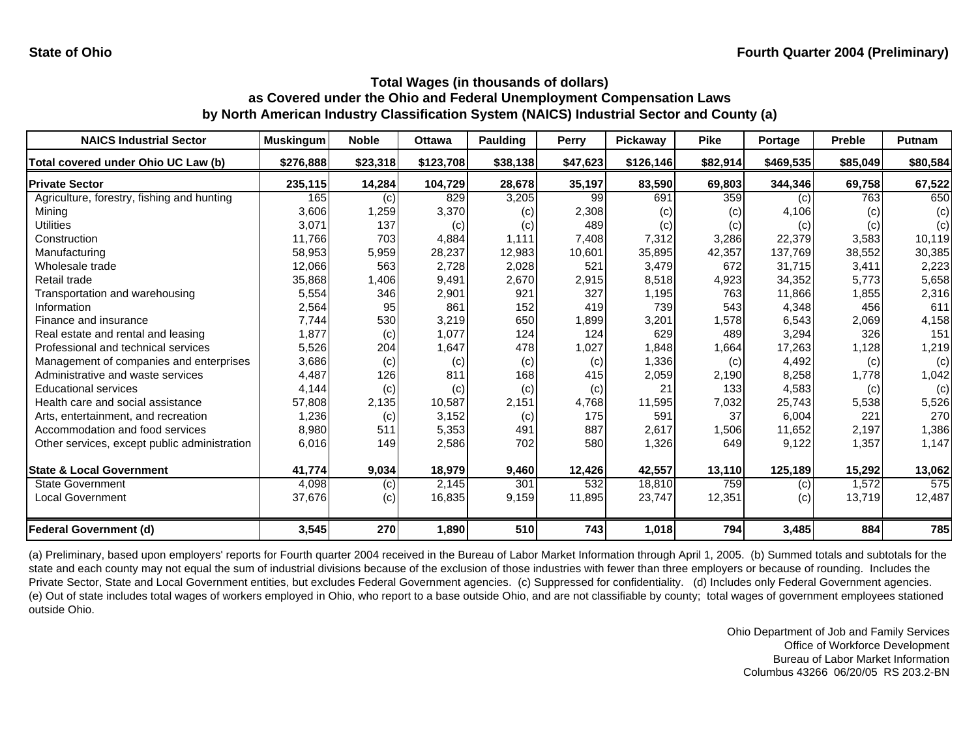| <b>NAICS Industrial Sector</b>               | <b>Muskingum</b> | <b>Noble</b> | <b>Ottawa</b> | <b>Paulding</b> | <b>Perry</b> | <b>Pickaway</b> | <b>Pike</b> | Portage   | <b>Preble</b> | <b>Putnam</b> |
|----------------------------------------------|------------------|--------------|---------------|-----------------|--------------|-----------------|-------------|-----------|---------------|---------------|
| Total covered under Ohio UC Law (b)          | \$276,888        | \$23,318     | \$123,708     | \$38,138        | \$47,623     | \$126,146       | \$82,914    | \$469,535 | \$85,049      | \$80,584      |
| <b>Private Sector</b>                        | 235,115          | 14,284       | 104,729       | 28,678          | 35,197       | 83,590          | 69,803      | 344,346   | 69,758        | 67,522        |
| Agriculture, forestry, fishing and hunting   | 165              | (c)          | 829           | 3,205           | 99           | 691             | 359         | (c)       | 763           | 650           |
| Mining                                       | 3,606            | 1,259        | 3,370         | (c)             | 2,308        | (c)             | (c)         | 4,106     | (c)           | (c)           |
| <b>Utilities</b>                             | 3,071            | 137          | (c)           | (c)             | 489          | (c)             | (c)         | (c)       | (c)           | (c)           |
| Construction                                 | 11,766           | 703          | 4,884         | 1.111           | 7,408        | 7,312           | 3,286       | 22,379    | 3,583         | 10,119        |
| Manufacturing                                | 58,953           | 5,959        | 28,237        | 12,983          | 10,601       | 35,895          | 42,357      | 137,769   | 38,552        | 30,385        |
| Wholesale trade                              | 12,066           | 563          | 2,728         | 2,028           | 521          | 3,479           | 672         | 31.715    | 3,411         | 2,223         |
| Retail trade                                 | 35,868           | 1,406        | 9,491         | 2,670           | 2,915        | 8,518           | 4,923       | 34,352    | 5,773         | 5,658         |
| Transportation and warehousing               | 5,554            | 346          | 2,901         | 921             | 327          | 1,195           | 763         | 11,866    | 1,855         | 2,316         |
| Information                                  | 2,564            | 95           | 861           | 152             | 419          | 739             | 543         | 4,348     | 456           | 611           |
| Finance and insurance                        | 7,744            | 530          | 3,219         | 650             | 1,899        | 3,201           | 1,578       | 6,543     | 2,069         | 4,158         |
| Real estate and rental and leasing           | 1,877            | (c)          | 1,077         | 124             | 124          | 629             | 489         | 3,294     | 326           | 151           |
| Professional and technical services          | 5,526            | 204          | 1,647         | 478             | 1,027        | 1,848           | 1,664       | 17,263    | 1,128         | 1,219         |
| Management of companies and enterprises      | 3,686            | (c)          | (c)           | (c)             | (c)          | 1,336           | (c)         | 4,492     | (c)           | (c)           |
| Administrative and waste services            | 4,487            | 126          | 811           | 168             | 415          | 2,059           | 2,190       | 8,258     | 1,778         | 1,042         |
| <b>Educational services</b>                  | 4,144            | (c)          | (c)           | (c)             | (c)          | 21              | 133         | 4,583     | (c)           | (c)           |
| Health care and social assistance            | 57,808           | 2,135        | 10,587        | 2,151           | 4,768        | 11,595          | 7,032       | 25,743    | 5,538         | 5,526         |
| Arts, entertainment, and recreation          | 1,236            | (c)          | 3,152         | (c)             | 175          | 591             | 37          | 6,004     | 221           | 270           |
| Accommodation and food services              | 8,980            | 511          | 5,353         | 491             | 887          | 2,617           | 1,506       | 11,652    | 2,197         | 1,386         |
| Other services, except public administration | 6,016            | 149          | 2,586         | 702             | 580          | 1,326           | 649         | 9,122     | 1,357         | 1,147         |
| <b>State &amp; Local Government</b>          | 41,774           | 9,034        | 18,979        | 9,460           | 12,426       | 42,557          | 13,110      | 125,189   | 15,292        | 13,062        |
| <b>State Government</b>                      | 4,098            | (c)          | 2,145         | 301             | 532          | 18,810          | 759         | (c)       | 1,572         | 575           |
| <b>Local Government</b>                      | 37,676           | (c)          | 16,835        | 9,159           | 11,895       | 23,747          | 12,351      | (c)       | 13,719        | 12,487        |
| <b>Federal Government (d)</b>                | 3,545            | 270          | 1,890         | 510             | 743          | 1,018           | 794         | 3,485     | 884           | 785           |

(a) Preliminary, based upon employers' reports for Fourth quarter 2004 received in the Bureau of Labor Market Information through April 1, 2005. (b) Summed totals and subtotals for the state and each county may not equal the sum of industrial divisions because of the exclusion of those industries with fewer than three employers or because of rounding. Includes the Private Sector, State and Local Government entities, but excludes Federal Government agencies. (c) Suppressed for confidentiality. (d) Includes only Federal Government agencies. (e) Out of state includes total wages of workers employed in Ohio, who report to a base outside Ohio, and are not classifiable by county; total wages of government employees stationed outside Ohio.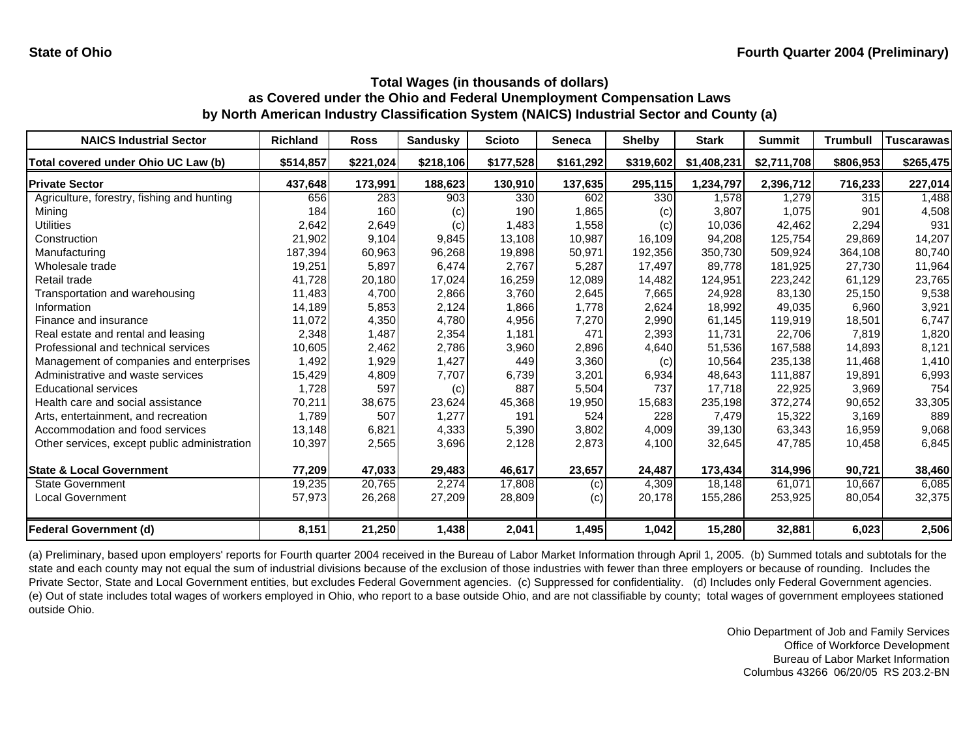| <b>NAICS Industrial Sector</b>               | <b>Richland</b> | <b>Ross</b> | <b>Sandusky</b> | <b>Scioto</b> | <b>Seneca</b> | <b>Shelby</b> | <b>Stark</b> | <b>Summit</b> | <b>Trumbull</b> | <b>Tuscarawas</b> |
|----------------------------------------------|-----------------|-------------|-----------------|---------------|---------------|---------------|--------------|---------------|-----------------|-------------------|
| Total covered under Ohio UC Law (b)          | \$514,857       | \$221,024   | \$218,106       | \$177,528     | \$161,292     | \$319,602     | \$1,408,231  | \$2,711,708   | \$806,953       | \$265,475         |
| <b>Private Sector</b>                        | 437,648         | 173,991     | 188,623         | 130,910       | 137,635       | 295,115       | 1,234,797    | 2,396,712     | 716,233         | 227,014           |
| Agriculture, forestry, fishing and hunting   | 656             | 283         | 903             | 330           | 602           | 330           | 1,578        | 1,279         | 315             | 1,488             |
| Mining                                       | 184             | 160         | (c)             | 190           | 1,865         | (c)           | 3,807        | 1,075         | 901             | 4,508             |
| <b>Utilities</b>                             | 2,642           | 2,649       | (c)             | 1,483         | 1,558         | (c)           | 10,036       | 42,462        | 2,294           | 931               |
| Construction                                 | 21,902          | 9,104       | 9,845           | 13,108        | 10,987        | 16,109        | 94,208       | 125,754       | 29,869          | 14,207            |
| Manufacturing                                | 187,394         | 60,963      | 96,268          | 19,898        | 50,971        | 192,356       | 350,730      | 509,924       | 364,108         | 80,740            |
| Wholesale trade                              | 19,251          | 5,897       | 6,474           | 2,767         | 5,287         | 17,497        | 89,778       | 181,925       | 27,730          | 11,964            |
| Retail trade                                 | 41,728          | 20,180      | 17,024          | 16,259        | 12,089        | 14,482        | 124,951      | 223,242       | 61,129          | 23,765            |
| Transportation and warehousing               | 11,483          | 4,700       | 2,866           | 3,760         | 2,645         | 7,665         | 24,928       | 83,130        | 25,150          | 9,538             |
| Information                                  | 14,189          | 5,853       | 2,124           | 1,866         | 1,778         | 2,624         | 18,992       | 49,035        | 6,960           | 3,921             |
| Finance and insurance                        | 11,072          | 4,350       | 4,780           | 4,956         | 7,270         | 2,990         | 61,145       | 119,919       | 18,501          | 6,747             |
| Real estate and rental and leasing           | 2,348           | 1,487       | 2,354           | 1,181         | 471           | 2,393         | 11,731       | 22,706        | 7,819           | 1,820             |
| Professional and technical services          | 10,605          | 2,462       | 2,786           | 3,960         | 2,896         | 4,640         | 51,536       | 167,588       | 14,893          | 8,121             |
| Management of companies and enterprises      | 1,492           | 1,929       | 1,427           | 449           | 3,360         | (c)           | 10,564       | 235,138       | 11,468          | 1,410             |
| Administrative and waste services            | 15,429          | 4,809       | 7,707           | 6,739         | 3,201         | 6,934         | 48.643       | 111.887       | 19,891          | 6,993             |
| <b>Educational services</b>                  | 1,728           | 597         | (c)             | 887           | 5,504         | 737           | 17,718       | 22,925        | 3,969           | 754               |
| Health care and social assistance            | 70,211          | 38,675      | 23,624          | 45,368        | 19,950        | 15,683        | 235,198      | 372,274       | 90,652          | 33,305            |
| Arts, entertainment, and recreation          | 1,789           | 507         | 1,277           | 191           | 524           | 228           | 7,479        | 15,322        | 3,169           | 889               |
| Accommodation and food services              | 13,148          | 6,821       | 4,333           | 5,390         | 3,802         | 4,009         | 39,130       | 63,343        | 16,959          | 9,068             |
| Other services, except public administration | 10,397          | 2,565       | 3,696           | 2,128         | 2,873         | 4,100         | 32,645       | 47,785        | 10,458          | 6,845             |
| <b>State &amp; Local Government</b>          | 77,209          | 47,033      | 29,483          | 46,617        | 23,657        | 24,487        | 173,434      | 314,996       | 90,721          | 38,460            |
| <b>State Government</b>                      | 19,235          | 20,765      | 2,274           | 17,808        | (c)           | 4,309         | 18,148       | 61,071        | 10,667          | 6,085             |
| <b>Local Government</b>                      | 57,973          | 26,268      | 27,209          | 28,809        | (c)           | 20,178        | 155,286      | 253,925       | 80,054          | 32,375            |
| <b>Federal Government (d)</b>                | 8,151           | 21,250      | 1,438           | 2,041         | 1,495         | 1,042         | 15,280       | 32,881        | 6,023           | 2,506             |

(a) Preliminary, based upon employers' reports for Fourth quarter 2004 received in the Bureau of Labor Market Information through April 1, 2005. (b) Summed totals and subtotals for the state and each county may not equal the sum of industrial divisions because of the exclusion of those industries with fewer than three employers or because of rounding. Includes the Private Sector, State and Local Government entities, but excludes Federal Government agencies. (c) Suppressed for confidentiality. (d) Includes only Federal Government agencies. (e) Out of state includes total wages of workers employed in Ohio, who report to a base outside Ohio, and are not classifiable by county; total wages of government employees stationed outside Ohio.